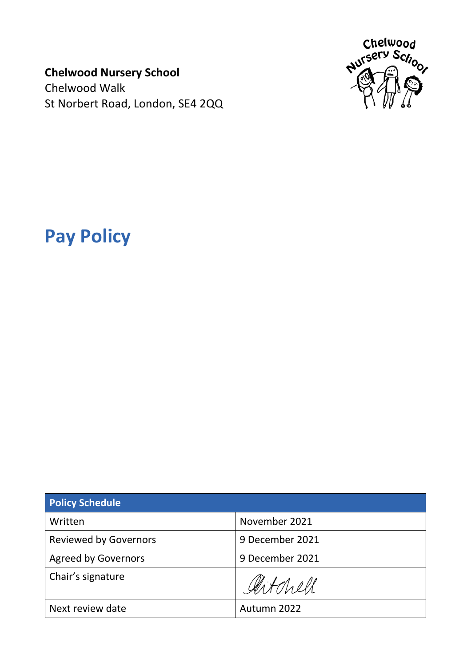**Chelwood Nursery School**

Chelwood Walk St Norbert Road, London, SE4 2QQ



# **Pay Policy**

| <b>Policy Schedule</b>       |                 |  |
|------------------------------|-----------------|--|
| Written                      | November 2021   |  |
| <b>Reviewed by Governors</b> | 9 December 2021 |  |
| <b>Agreed by Governors</b>   | 9 December 2021 |  |
| Chair's signature            | Gertchell       |  |
| Next review date             | Autumn 2022     |  |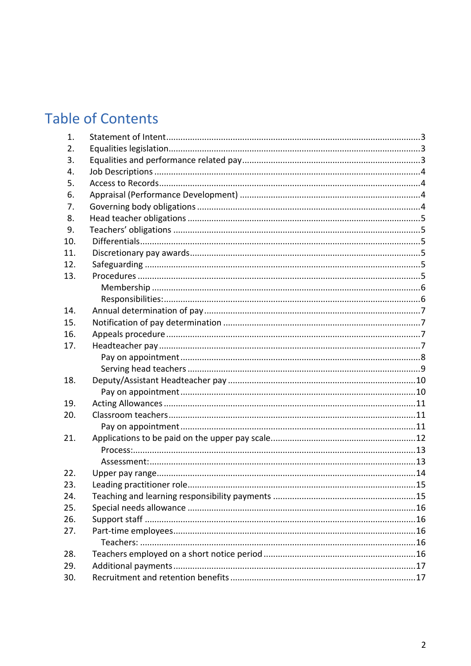## **Table of Contents**

| 1.  |  |
|-----|--|
| 2.  |  |
| 3.  |  |
| 4.  |  |
| 5.  |  |
| 6.  |  |
| 7.  |  |
| 8.  |  |
| 9.  |  |
| 10. |  |
| 11. |  |
| 12. |  |
| 13. |  |
|     |  |
|     |  |
| 14. |  |
| 15. |  |
| 16. |  |
| 17. |  |
|     |  |
|     |  |
| 18. |  |
|     |  |
| 19. |  |
| 20. |  |
|     |  |
| 21. |  |
|     |  |
|     |  |
| 22. |  |
| 23. |  |
| 24. |  |
| 25. |  |
| 26. |  |
| 27. |  |
|     |  |
| 28. |  |
| 29. |  |
| 30. |  |
|     |  |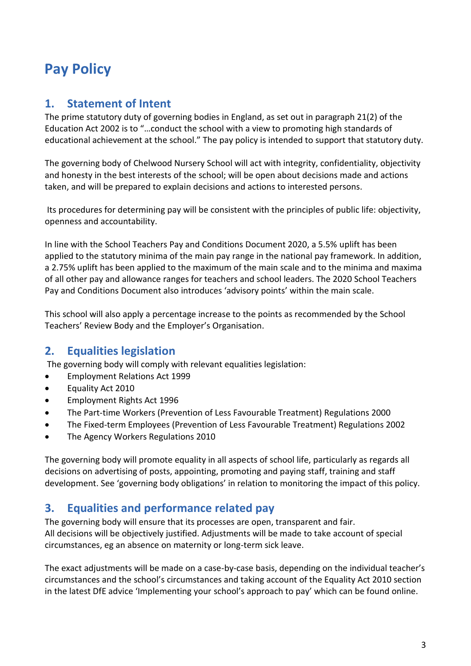## <span id="page-2-0"></span>**Pay Policy**

## **1. Statement of Intent**

The prime statutory duty of governing bodies in England, as set out in paragraph 21(2) of the Education Act 2002 is to "…conduct the school with a view to promoting high standards of educational achievement at the school." The pay policy is intended to support that statutory duty.

The governing body of Chelwood Nursery School will act with integrity, confidentiality, objectivity and honesty in the best interests of the school; will be open about decisions made and actions taken, and will be prepared to explain decisions and actions to interested persons.

Its procedures for determining pay will be consistent with the principles of public life: objectivity, openness and accountability.

In line with the School Teachers Pay and Conditions Document 2020, a 5.5% uplift has been applied to the statutory minima of the main pay range in the national pay framework. In addition, a 2.75% uplift has been applied to the maximum of the main scale and to the minima and maxima of all other pay and allowance ranges for teachers and school leaders. The 2020 School Teachers Pay and Conditions Document also introduces 'advisory points' within the main scale.

This school will also apply a percentage increase to the points as recommended by the School Teachers' Review Body and the Employer's Organisation.

## <span id="page-2-1"></span>**2. Equalities legislation**

The governing body will comply with relevant equalities legislation:

- Employment Relations Act 1999
- Equality Act 2010
- Employment Rights Act 1996
- The Part-time Workers (Prevention of Less Favourable Treatment) Regulations 2000
- The Fixed-term Employees (Prevention of Less Favourable Treatment) Regulations 2002
- The Agency Workers Regulations 2010

The governing body will promote equality in all aspects of school life, particularly as regards all decisions on advertising of posts, appointing, promoting and paying staff, training and staff development. See 'governing body obligations' in relation to monitoring the impact of this policy.

## <span id="page-2-2"></span>**3. Equalities and performance related pay**

The governing body will ensure that its processes are open, transparent and fair. All decisions will be objectively justified. Adjustments will be made to take account of special circumstances, eg an absence on maternity or long-term sick leave.

The exact adjustments will be made on a case-by-case basis, depending on the individual teacher's circumstances and the school's circumstances and taking account of the Equality Act 2010 section in the latest DfE advice 'Implementing your school's approach to pay' which can be found online.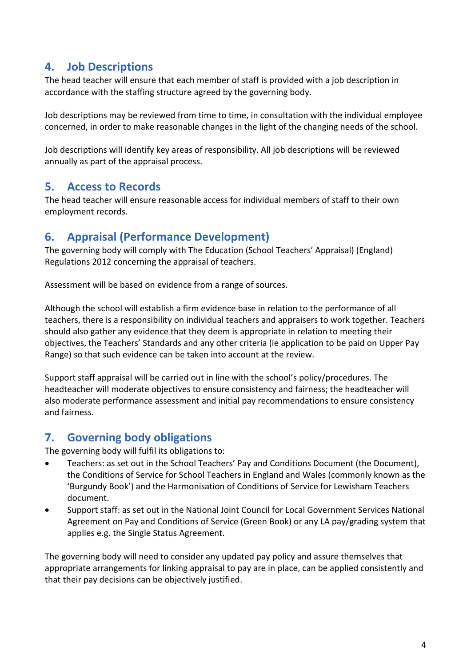## <span id="page-3-0"></span>**4. Job Descriptions**

The head teacher will ensure that each member of staff is provided with a job description in accordance with the staffing structure agreed by the governing body.

Job descriptions may be reviewed from time to time, in consultation with the individual employee concerned, in order to make reasonable changes in the light of the changing needs of the school.

Job descriptions will identify key areas of responsibility. All job descriptions will be reviewed annually as part of the appraisal process.

## <span id="page-3-1"></span>**5. Access to Records**

The head teacher will ensure reasonable access for individual members of staff to their own employment records.

## <span id="page-3-2"></span>**6. Appraisal (Performance Development)**

The governing body will comply with The Education (School Teachers' Appraisal) (England) Regulations 2012 concerning the appraisal of teachers.

Assessment will be based on evidence from a range of sources.

Although the school will establish a firm evidence base in relation to the performance of all teachers, there is a responsibility on individual teachers and appraisers to work together. Teachers should also gather any evidence that they deem is appropriate in relation to meeting their objectives, the Teachers' Standards and any other criteria (ie application to be paid on Upper Pay Range) so that such evidence can be taken into account at the review.

Support staff appraisal will be carried out in line with the school's policy/procedures. The headteacher will moderate objectives to ensure consistency and fairness; the headteacher will also moderate performance assessment and initial pay recommendations to ensure consistency and fairness.

## <span id="page-3-3"></span>**7. Governing body obligations**

The governing body will fulfil its obligations to:

- Teachers: as set out in the School Teachers' Pay and Conditions Document (the Document), the Conditions of Service for School Teachers in England and Wales (commonly known as the 'Burgundy Book') and the Harmonisation of Conditions of Service for Lewisham Teachers document.
- Support staff: as set out in the National Joint Council for Local Government Services National Agreement on Pay and Conditions of Service (Green Book) or any LA pay/grading system that applies e.g. the Single Status Agreement.

The governing body will need to consider any updated pay policy and assure themselves that appropriate arrangements for linking appraisal to pay are in place, can be applied consistently and that their pay decisions can be objectively justified.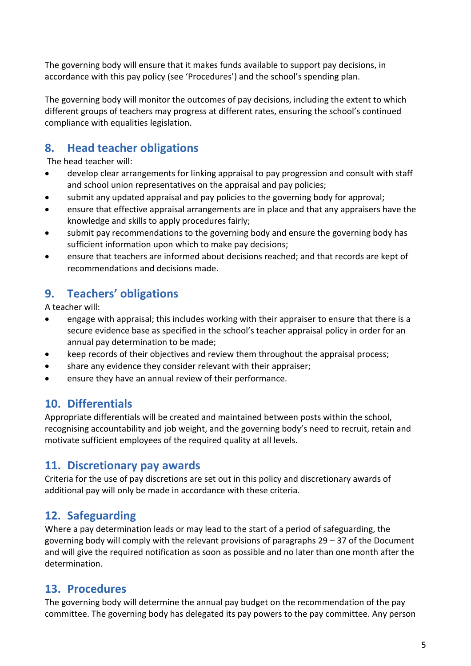The governing body will ensure that it makes funds available to support pay decisions, in accordance with this pay policy (see 'Procedures') and the school's spending plan.

The governing body will monitor the outcomes of pay decisions, including the extent to which different groups of teachers may progress at different rates, ensuring the school's continued compliance with equalities legislation.

## <span id="page-4-0"></span>**8. Head teacher obligations**

The head teacher will:

- develop clear arrangements for linking appraisal to pay progression and consult with staff and school union representatives on the appraisal and pay policies;
- submit any updated appraisal and pay policies to the governing body for approval;
- ensure that effective appraisal arrangements are in place and that any appraisers have the knowledge and skills to apply procedures fairly;
- submit pay recommendations to the governing body and ensure the governing body has sufficient information upon which to make pay decisions;
- ensure that teachers are informed about decisions reached; and that records are kept of recommendations and decisions made.

## <span id="page-4-1"></span>**9. Teachers' obligations**

A teacher will:

- engage with appraisal; this includes working with their appraiser to ensure that there is a secure evidence base as specified in the school's teacher appraisal policy in order for an annual pay determination to be made;
- keep records of their objectives and review them throughout the appraisal process;
- share any evidence they consider relevant with their appraiser;
- ensure they have an annual review of their performance.

## <span id="page-4-2"></span>**10. Differentials**

Appropriate differentials will be created and maintained between posts within the school, recognising accountability and job weight, and the governing body's need to recruit, retain and motivate sufficient employees of the required quality at all levels.

## <span id="page-4-3"></span>**11. Discretionary pay awards**

Criteria for the use of pay discretions are set out in this policy and discretionary awards of additional pay will only be made in accordance with these criteria.

## <span id="page-4-4"></span>**12. Safeguarding**

Where a pay determination leads or may lead to the start of a period of safeguarding, the governing body will comply with the relevant provisions of paragraphs 29 – 37 of the Document and will give the required notification as soon as possible and no later than one month after the determination.

## <span id="page-4-5"></span>**13. Procedures**

The governing body will determine the annual pay budget on the recommendation of the pay committee. The governing body has delegated its pay powers to the pay committee. Any person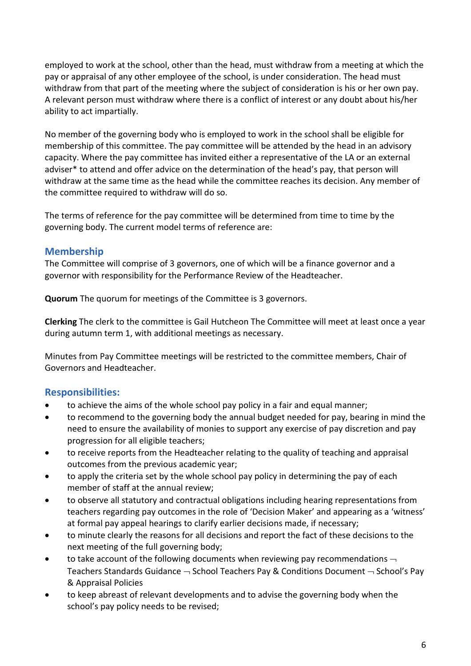employed to work at the school, other than the head, must withdraw from a meeting at which the pay or appraisal of any other employee of the school, is under consideration. The head must withdraw from that part of the meeting where the subject of consideration is his or her own pay. A relevant person must withdraw where there is a conflict of interest or any doubt about his/her ability to act impartially.

No member of the governing body who is employed to work in the school shall be eligible for membership of this committee. The pay committee will be attended by the head in an advisory capacity. Where the pay committee has invited either a representative of the LA or an external adviser\* to attend and offer advice on the determination of the head's pay, that person will withdraw at the same time as the head while the committee reaches its decision. Any member of the committee required to withdraw will do so.

The terms of reference for the pay committee will be determined from time to time by the governing body. The current model terms of reference are:

#### <span id="page-5-0"></span>**Membership**

The Committee will comprise of 3 governors, one of which will be a finance governor and a governor with responsibility for the Performance Review of the Headteacher.

**Quorum** The quorum for meetings of the Committee is 3 governors.

**Clerking** The clerk to the committee is Gail Hutcheon The Committee will meet at least once a year during autumn term 1, with additional meetings as necessary.

Minutes from Pay Committee meetings will be restricted to the committee members, Chair of Governors and Headteacher.

#### <span id="page-5-1"></span>**Responsibilities:**

- to achieve the aims of the whole school pay policy in a fair and equal manner;
- to recommend to the governing body the annual budget needed for pay, bearing in mind the need to ensure the availability of monies to support any exercise of pay discretion and pay progression for all eligible teachers;
- to receive reports from the Headteacher relating to the quality of teaching and appraisal outcomes from the previous academic year;
- to apply the criteria set by the whole school pay policy in determining the pay of each member of staff at the annual review;
- to observe all statutory and contractual obligations including hearing representations from teachers regarding pay outcomes in the role of 'Decision Maker' and appearing as a 'witness' at formal pay appeal hearings to clarify earlier decisions made, if necessary;
- to minute clearly the reasons for all decisions and report the fact of these decisions to the next meeting of the full governing body;
- to take account of the following documents when reviewing pay recommendations  $\lnot$ Teachers Standards Guidance  $\rightarrow$  School Teachers Pay & Conditions Document  $\rightarrow$  School's Pay & Appraisal Policies
- to keep abreast of relevant developments and to advise the governing body when the school's pay policy needs to be revised;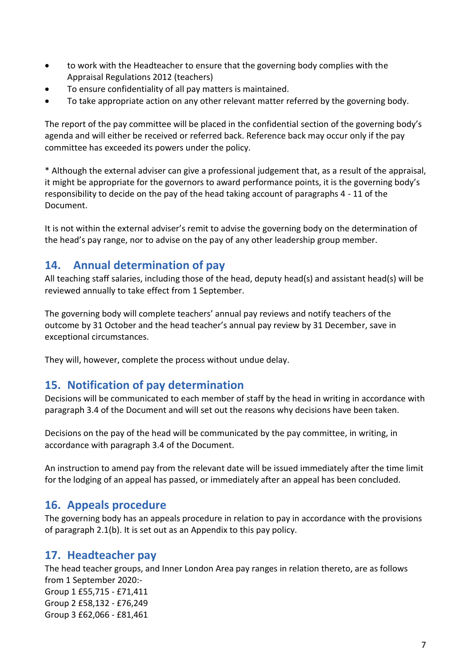- to work with the Headteacher to ensure that the governing body complies with the Appraisal Regulations 2012 (teachers)
- To ensure confidentiality of all pay matters is maintained.
- To take appropriate action on any other relevant matter referred by the governing body.

The report of the pay committee will be placed in the confidential section of the governing body's agenda and will either be received or referred back. Reference back may occur only if the pay committee has exceeded its powers under the policy.

\* Although the external adviser can give a professional judgement that, as a result of the appraisal, it might be appropriate for the governors to award performance points, it is the governing body's responsibility to decide on the pay of the head taking account of paragraphs 4 - 11 of the Document.

It is not within the external adviser's remit to advise the governing body on the determination of the head's pay range, nor to advise on the pay of any other leadership group member.

#### <span id="page-6-0"></span>**14. Annual determination of pay**

All teaching staff salaries, including those of the head, deputy head(s) and assistant head(s) will be reviewed annually to take effect from 1 September.

The governing body will complete teachers' annual pay reviews and notify teachers of the outcome by 31 October and the head teacher's annual pay review by 31 December, save in exceptional circumstances.

They will, however, complete the process without undue delay.

#### <span id="page-6-1"></span>**15. Notification of pay determination**

Decisions will be communicated to each member of staff by the head in writing in accordance with paragraph 3.4 of the Document and will set out the reasons why decisions have been taken.

Decisions on the pay of the head will be communicated by the pay committee, in writing, in accordance with paragraph 3.4 of the Document.

An instruction to amend pay from the relevant date will be issued immediately after the time limit for the lodging of an appeal has passed, or immediately after an appeal has been concluded.

#### <span id="page-6-2"></span>**16. Appeals procedure**

The governing body has an appeals procedure in relation to pay in accordance with the provisions of paragraph 2.1(b). It is set out as an Appendix to this pay policy.

#### <span id="page-6-3"></span>**17. Headteacher pay**

The head teacher groups, and Inner London Area pay ranges in relation thereto, are as follows from 1 September 2020:- Group 1 £55,715 - £71,411 Group 2 £58,132 - £76,249 Group 3 £62,066 - £81,461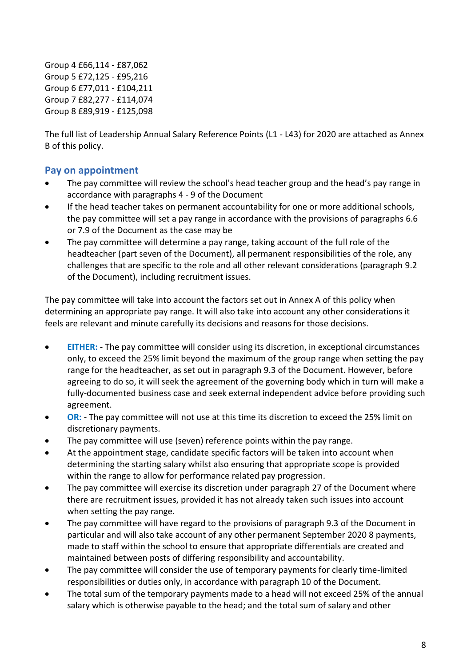Group 4 £66,114 - £87,062 Group 5 £72,125 - £95,216 Group 6 £77,011 - £104,211 Group 7 £82,277 - £114,074 Group 8 £89,919 - £125,098

The full list of Leadership Annual Salary Reference Points (L1 - L43) for 2020 are attached as Annex B of this policy.

#### <span id="page-7-0"></span>**Pay on appointment**

- The pay committee will review the school's head teacher group and the head's pay range in accordance with paragraphs 4 - 9 of the Document
- If the head teacher takes on permanent accountability for one or more additional schools, the pay committee will set a pay range in accordance with the provisions of paragraphs 6.6 or 7.9 of the Document as the case may be
- The pay committee will determine a pay range, taking account of the full role of the headteacher (part seven of the Document), all permanent responsibilities of the role, any challenges that are specific to the role and all other relevant considerations (paragraph 9.2 of the Document), including recruitment issues.

The pay committee will take into account the factors set out in Annex A of this policy when determining an appropriate pay range. It will also take into account any other considerations it feels are relevant and minute carefully its decisions and reasons for those decisions.

- **EITHER:** The pay committee will consider using its discretion, in exceptional circumstances only, to exceed the 25% limit beyond the maximum of the group range when setting the pay range for the headteacher, as set out in paragraph 9.3 of the Document. However, before agreeing to do so, it will seek the agreement of the governing body which in turn will make a fully-documented business case and seek external independent advice before providing such agreement.
- **OR:** The pay committee will not use at this time its discretion to exceed the 25% limit on discretionary payments.
- The pay committee will use (seven) reference points within the pay range.
- At the appointment stage, candidate specific factors will be taken into account when determining the starting salary whilst also ensuring that appropriate scope is provided within the range to allow for performance related pay progression.
- The pay committee will exercise its discretion under paragraph 27 of the Document where there are recruitment issues, provided it has not already taken such issues into account when setting the pay range.
- The pay committee will have regard to the provisions of paragraph 9.3 of the Document in particular and will also take account of any other permanent September 2020 8 payments, made to staff within the school to ensure that appropriate differentials are created and maintained between posts of differing responsibility and accountability.
- The pay committee will consider the use of temporary payments for clearly time-limited responsibilities or duties only, in accordance with paragraph 10 of the Document.
- The total sum of the temporary payments made to a head will not exceed 25% of the annual salary which is otherwise payable to the head; and the total sum of salary and other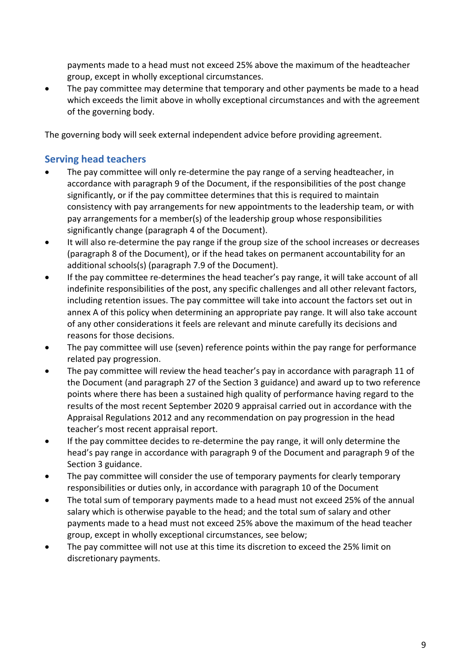payments made to a head must not exceed 25% above the maximum of the headteacher group, except in wholly exceptional circumstances.

• The pay committee may determine that temporary and other payments be made to a head which exceeds the limit above in wholly exceptional circumstances and with the agreement of the governing body.

The governing body will seek external independent advice before providing agreement.

#### <span id="page-8-0"></span>**Serving head teachers**

- The pay committee will only re-determine the pay range of a serving headteacher, in accordance with paragraph 9 of the Document, if the responsibilities of the post change significantly, or if the pay committee determines that this is required to maintain consistency with pay arrangements for new appointments to the leadership team, or with pay arrangements for a member(s) of the leadership group whose responsibilities significantly change (paragraph 4 of the Document).
- It will also re-determine the pay range if the group size of the school increases or decreases (paragraph 8 of the Document), or if the head takes on permanent accountability for an additional schools(s) (paragraph 7.9 of the Document).
- If the pay committee re-determines the head teacher's pay range, it will take account of all indefinite responsibilities of the post, any specific challenges and all other relevant factors, including retention issues. The pay committee will take into account the factors set out in annex A of this policy when determining an appropriate pay range. It will also take account of any other considerations it feels are relevant and minute carefully its decisions and reasons for those decisions.
- The pay committee will use (seven) reference points within the pay range for performance related pay progression.
- The pay committee will review the head teacher's pay in accordance with paragraph 11 of the Document (and paragraph 27 of the Section 3 guidance) and award up to two reference points where there has been a sustained high quality of performance having regard to the results of the most recent September 2020 9 appraisal carried out in accordance with the Appraisal Regulations 2012 and any recommendation on pay progression in the head teacher's most recent appraisal report.
- If the pay committee decides to re-determine the pay range, it will only determine the head's pay range in accordance with paragraph 9 of the Document and paragraph 9 of the Section 3 guidance.
- The pay committee will consider the use of temporary payments for clearly temporary responsibilities or duties only, in accordance with paragraph 10 of the Document
- The total sum of temporary payments made to a head must not exceed 25% of the annual salary which is otherwise payable to the head; and the total sum of salary and other payments made to a head must not exceed 25% above the maximum of the head teacher group, except in wholly exceptional circumstances, see below;
- The pay committee will not use at this time its discretion to exceed the 25% limit on discretionary payments.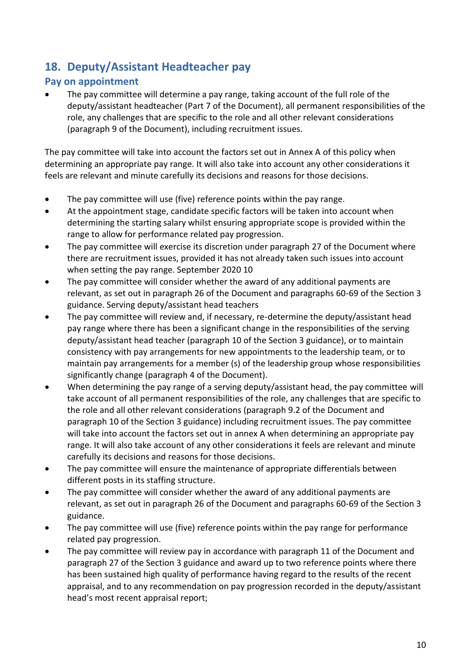## <span id="page-9-0"></span>**18. Deputy/Assistant Headteacher pay**

#### <span id="page-9-1"></span>**Pay on appointment**

 The pay committee will determine a pay range, taking account of the full role of the deputy/assistant headteacher (Part 7 of the Document), all permanent responsibilities of the role, any challenges that are specific to the role and all other relevant considerations (paragraph 9 of the Document), including recruitment issues.

The pay committee will take into account the factors set out in Annex A of this policy when determining an appropriate pay range. It will also take into account any other considerations it feels are relevant and minute carefully its decisions and reasons for those decisions.

- The pay committee will use (five) reference points within the pay range.
- At the appointment stage, candidate specific factors will be taken into account when determining the starting salary whilst ensuring appropriate scope is provided within the range to allow for performance related pay progression.
- The pay committee will exercise its discretion under paragraph 27 of the Document where there are recruitment issues, provided it has not already taken such issues into account when setting the pay range. September 2020 10
- The pay committee will consider whether the award of any additional payments are relevant, as set out in paragraph 26 of the Document and paragraphs 60-69 of the Section 3 guidance. Serving deputy/assistant head teachers
- The pay committee will review and, if necessary, re-determine the deputy/assistant head pay range where there has been a significant change in the responsibilities of the serving deputy/assistant head teacher (paragraph 10 of the Section 3 guidance), or to maintain consistency with pay arrangements for new appointments to the leadership team, or to maintain pay arrangements for a member (s) of the leadership group whose responsibilities significantly change (paragraph 4 of the Document).
- When determining the pay range of a serving deputy/assistant head, the pay committee will take account of all permanent responsibilities of the role, any challenges that are specific to the role and all other relevant considerations (paragraph 9.2 of the Document and paragraph 10 of the Section 3 guidance) including recruitment issues. The pay committee will take into account the factors set out in annex A when determining an appropriate pay range. It will also take account of any other considerations it feels are relevant and minute carefully its decisions and reasons for those decisions.
- The pay committee will ensure the maintenance of appropriate differentials between different posts in its staffing structure.
- The pay committee will consider whether the award of any additional payments are relevant, as set out in paragraph 26 of the Document and paragraphs 60-69 of the Section 3 guidance.
- The pay committee will use (five) reference points within the pay range for performance related pay progression.
- The pay committee will review pay in accordance with paragraph 11 of the Document and paragraph 27 of the Section 3 guidance and award up to two reference points where there has been sustained high quality of performance having regard to the results of the recent appraisal, and to any recommendation on pay progression recorded in the deputy/assistant head's most recent appraisal report;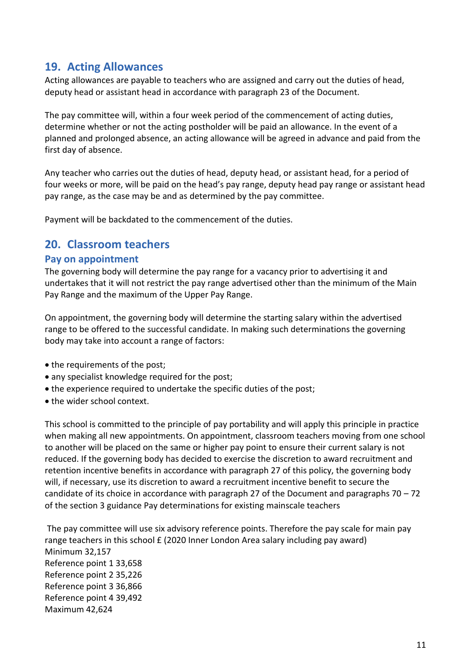#### <span id="page-10-0"></span>**19. Acting Allowances**

Acting allowances are payable to teachers who are assigned and carry out the duties of head, deputy head or assistant head in accordance with paragraph 23 of the Document.

The pay committee will, within a four week period of the commencement of acting duties, determine whether or not the acting postholder will be paid an allowance. In the event of a planned and prolonged absence, an acting allowance will be agreed in advance and paid from the first day of absence.

Any teacher who carries out the duties of head, deputy head, or assistant head, for a period of four weeks or more, will be paid on the head's pay range, deputy head pay range or assistant head pay range, as the case may be and as determined by the pay committee.

Payment will be backdated to the commencement of the duties.

#### <span id="page-10-1"></span>**20. Classroom teachers**

#### <span id="page-10-2"></span>**Pay on appointment**

The governing body will determine the pay range for a vacancy prior to advertising it and undertakes that it will not restrict the pay range advertised other than the minimum of the Main Pay Range and the maximum of the Upper Pay Range.

On appointment, the governing body will determine the starting salary within the advertised range to be offered to the successful candidate. In making such determinations the governing body may take into account a range of factors:

- the requirements of the post;
- any specialist knowledge required for the post;
- the experience required to undertake the specific duties of the post;
- the wider school context.

This school is committed to the principle of pay portability and will apply this principle in practice when making all new appointments. On appointment, classroom teachers moving from one school to another will be placed on the same or higher pay point to ensure their current salary is not reduced. If the governing body has decided to exercise the discretion to award recruitment and retention incentive benefits in accordance with paragraph 27 of this policy, the governing body will, if necessary, use its discretion to award a recruitment incentive benefit to secure the candidate of its choice in accordance with paragraph 27 of the Document and paragraphs 70 – 72 of the section 3 guidance Pay determinations for existing mainscale teachers

The pay committee will use six advisory reference points. Therefore the pay scale for main pay range teachers in this school £ (2020 Inner London Area salary including pay award) Minimum 32,157 Reference point 1 33,658 Reference point 2 35,226 Reference point 3 36,866 Reference point 4 39,492 Maximum 42,624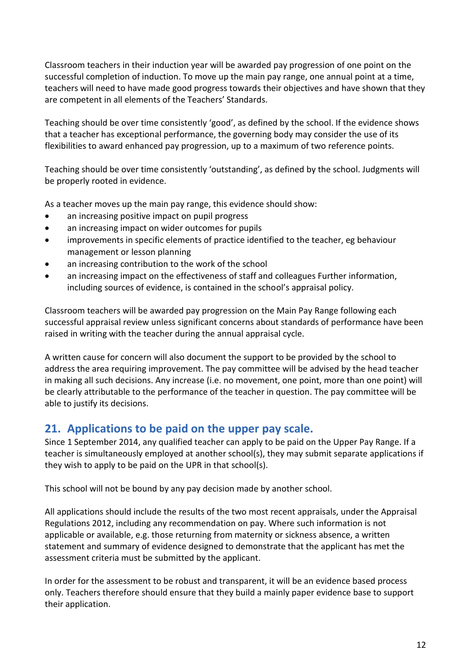Classroom teachers in their induction year will be awarded pay progression of one point on the successful completion of induction. To move up the main pay range, one annual point at a time, teachers will need to have made good progress towards their objectives and have shown that they are competent in all elements of the Teachers' Standards.

Teaching should be over time consistently 'good', as defined by the school. If the evidence shows that a teacher has exceptional performance, the governing body may consider the use of its flexibilities to award enhanced pay progression, up to a maximum of two reference points.

Teaching should be over time consistently 'outstanding', as defined by the school. Judgments will be properly rooted in evidence.

As a teacher moves up the main pay range, this evidence should show:

- an increasing positive impact on pupil progress
- an increasing impact on wider outcomes for pupils
- improvements in specific elements of practice identified to the teacher, eg behaviour management or lesson planning
- an increasing contribution to the work of the school
- an increasing impact on the effectiveness of staff and colleagues Further information, including sources of evidence, is contained in the school's appraisal policy.

Classroom teachers will be awarded pay progression on the Main Pay Range following each successful appraisal review unless significant concerns about standards of performance have been raised in writing with the teacher during the annual appraisal cycle.

A written cause for concern will also document the support to be provided by the school to address the area requiring improvement. The pay committee will be advised by the head teacher in making all such decisions. Any increase (i.e. no movement, one point, more than one point) will be clearly attributable to the performance of the teacher in question. The pay committee will be able to justify its decisions.

#### <span id="page-11-0"></span>**21. Applications to be paid on the upper pay scale.**

Since 1 September 2014, any qualified teacher can apply to be paid on the Upper Pay Range. If a teacher is simultaneously employed at another school(s), they may submit separate applications if they wish to apply to be paid on the UPR in that school(s).

This school will not be bound by any pay decision made by another school.

All applications should include the results of the two most recent appraisals, under the Appraisal Regulations 2012, including any recommendation on pay. Where such information is not applicable or available, e.g. those returning from maternity or sickness absence, a written statement and summary of evidence designed to demonstrate that the applicant has met the assessment criteria must be submitted by the applicant.

In order for the assessment to be robust and transparent, it will be an evidence based process only. Teachers therefore should ensure that they build a mainly paper evidence base to support their application.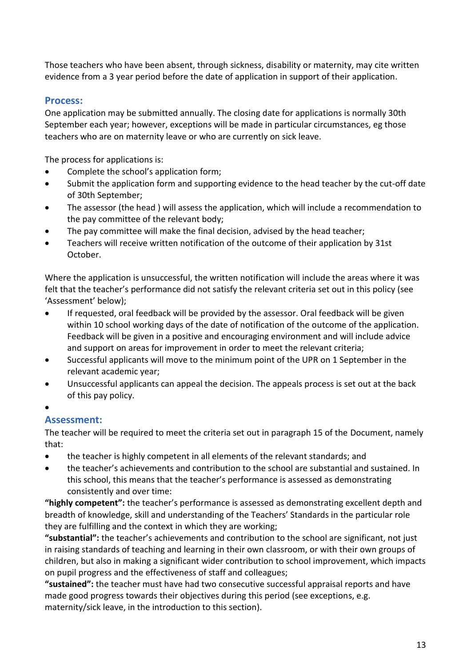Those teachers who have been absent, through sickness, disability or maternity, may cite written evidence from a 3 year period before the date of application in support of their application.

#### <span id="page-12-0"></span>**Process:**

One application may be submitted annually. The closing date for applications is normally 30th September each year; however, exceptions will be made in particular circumstances, eg those teachers who are on maternity leave or who are currently on sick leave.

The process for applications is:

- Complete the school's application form;
- Submit the application form and supporting evidence to the head teacher by the cut-off date of 30th September;
- The assessor (the head ) will assess the application, which will include a recommendation to the pay committee of the relevant body;
- The pay committee will make the final decision, advised by the head teacher;
- Teachers will receive written notification of the outcome of their application by 31st October.

Where the application is unsuccessful, the written notification will include the areas where it was felt that the teacher's performance did not satisfy the relevant criteria set out in this policy (see 'Assessment' below);

- If requested, oral feedback will be provided by the assessor. Oral feedback will be given within 10 school working days of the date of notification of the outcome of the application. Feedback will be given in a positive and encouraging environment and will include advice and support on areas for improvement in order to meet the relevant criteria;
- Successful applicants will move to the minimum point of the UPR on 1 September in the relevant academic year;
- Unsuccessful applicants can appeal the decision. The appeals process is set out at the back of this pay policy.
- $\bullet$

#### <span id="page-12-1"></span>**Assessment:**

The teacher will be required to meet the criteria set out in paragraph 15 of the Document, namely that:

- the teacher is highly competent in all elements of the relevant standards; and
- the teacher's achievements and contribution to the school are substantial and sustained. In this school, this means that the teacher's performance is assessed as demonstrating consistently and over time:

**"highly competent":** the teacher's performance is assessed as demonstrating excellent depth and breadth of knowledge, skill and understanding of the Teachers' Standards in the particular role they are fulfilling and the context in which they are working;

**"substantial":** the teacher's achievements and contribution to the school are significant, not just in raising standards of teaching and learning in their own classroom, or with their own groups of children, but also in making a significant wider contribution to school improvement, which impacts on pupil progress and the effectiveness of staff and colleagues;

**"sustained":** the teacher must have had two consecutive successful appraisal reports and have made good progress towards their objectives during this period (see exceptions, e.g. maternity/sick leave, in the introduction to this section).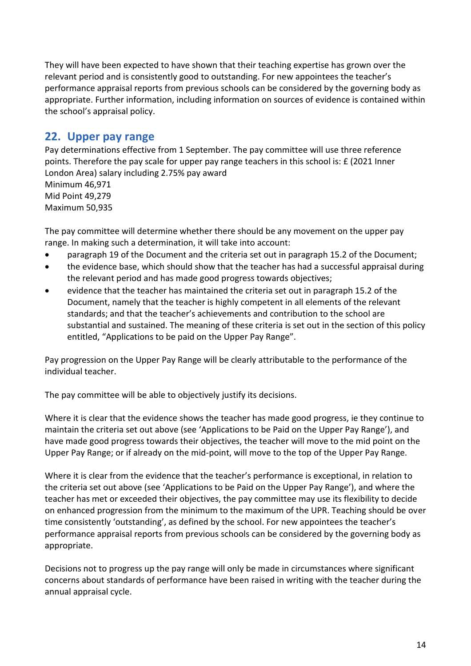They will have been expected to have shown that their teaching expertise has grown over the relevant period and is consistently good to outstanding. For new appointees the teacher's performance appraisal reports from previous schools can be considered by the governing body as appropriate. Further information, including information on sources of evidence is contained within the school's appraisal policy.

## <span id="page-13-0"></span>**22. Upper pay range**

Pay determinations effective from 1 September. The pay committee will use three reference points. Therefore the pay scale for upper pay range teachers in this school is: £ (2021 Inner London Area) salary including 2.75% pay award Minimum 46,971 Mid Point 49,279 Maximum 50,935

The pay committee will determine whether there should be any movement on the upper pay range. In making such a determination, it will take into account:

- paragraph 19 of the Document and the criteria set out in paragraph 15.2 of the Document;
- the evidence base, which should show that the teacher has had a successful appraisal during the relevant period and has made good progress towards objectives;
- evidence that the teacher has maintained the criteria set out in paragraph 15.2 of the Document, namely that the teacher is highly competent in all elements of the relevant standards; and that the teacher's achievements and contribution to the school are substantial and sustained. The meaning of these criteria is set out in the section of this policy entitled, "Applications to be paid on the Upper Pay Range".

Pay progression on the Upper Pay Range will be clearly attributable to the performance of the individual teacher.

The pay committee will be able to objectively justify its decisions.

Where it is clear that the evidence shows the teacher has made good progress, ie they continue to maintain the criteria set out above (see 'Applications to be Paid on the Upper Pay Range'), and have made good progress towards their objectives, the teacher will move to the mid point on the Upper Pay Range; or if already on the mid-point, will move to the top of the Upper Pay Range.

Where it is clear from the evidence that the teacher's performance is exceptional, in relation to the criteria set out above (see 'Applications to be Paid on the Upper Pay Range'), and where the teacher has met or exceeded their objectives, the pay committee may use its flexibility to decide on enhanced progression from the minimum to the maximum of the UPR. Teaching should be over time consistently 'outstanding', as defined by the school. For new appointees the teacher's performance appraisal reports from previous schools can be considered by the governing body as appropriate.

Decisions not to progress up the pay range will only be made in circumstances where significant concerns about standards of performance have been raised in writing with the teacher during the annual appraisal cycle.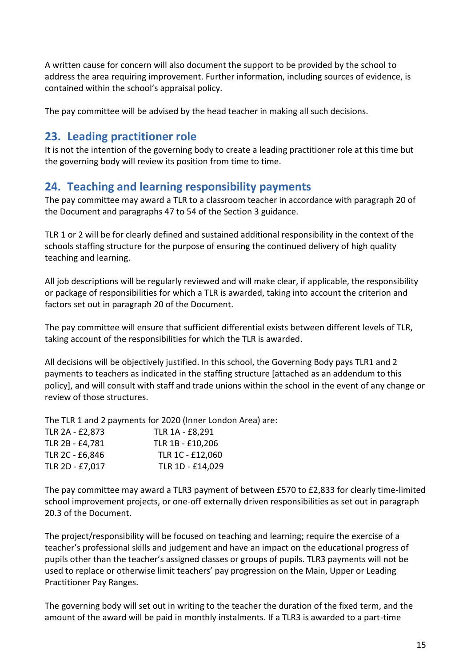A written cause for concern will also document the support to be provided by the school to address the area requiring improvement. Further information, including sources of evidence, is contained within the school's appraisal policy.

The pay committee will be advised by the head teacher in making all such decisions.

## <span id="page-14-0"></span>**23. Leading practitioner role**

It is not the intention of the governing body to create a leading practitioner role at this time but the governing body will review its position from time to time.

## <span id="page-14-1"></span>**24. Teaching and learning responsibility payments**

The pay committee may award a TLR to a classroom teacher in accordance with paragraph 20 of the Document and paragraphs 47 to 54 of the Section 3 guidance.

TLR 1 or 2 will be for clearly defined and sustained additional responsibility in the context of the schools staffing structure for the purpose of ensuring the continued delivery of high quality teaching and learning.

All job descriptions will be regularly reviewed and will make clear, if applicable, the responsibility or package of responsibilities for which a TLR is awarded, taking into account the criterion and factors set out in paragraph 20 of the Document.

The pay committee will ensure that sufficient differential exists between different levels of TLR, taking account of the responsibilities for which the TLR is awarded.

All decisions will be objectively justified. In this school, the Governing Body pays TLR1 and 2 payments to teachers as indicated in the staffing structure [attached as an addendum to this policy], and will consult with staff and trade unions within the school in the event of any change or review of those structures.

The TLR 1 and 2 payments for 2020 (Inner London Area) are:

| TLR 2A - £2,873 | TLR 1A - £8,291  |
|-----------------|------------------|
| TLR 2B - £4,781 | TLR 1B - £10,206 |
| TLR 2C - £6,846 | TLR 1C - £12,060 |
| TLR 2D - £7,017 | TLR 1D - £14,029 |

The pay committee may award a TLR3 payment of between £570 to £2,833 for clearly time-limited school improvement projects, or one-off externally driven responsibilities as set out in paragraph 20.3 of the Document.

The project/responsibility will be focused on teaching and learning; require the exercise of a teacher's professional skills and judgement and have an impact on the educational progress of pupils other than the teacher's assigned classes or groups of pupils. TLR3 payments will not be used to replace or otherwise limit teachers' pay progression on the Main, Upper or Leading Practitioner Pay Ranges.

The governing body will set out in writing to the teacher the duration of the fixed term, and the amount of the award will be paid in monthly instalments. If a TLR3 is awarded to a part-time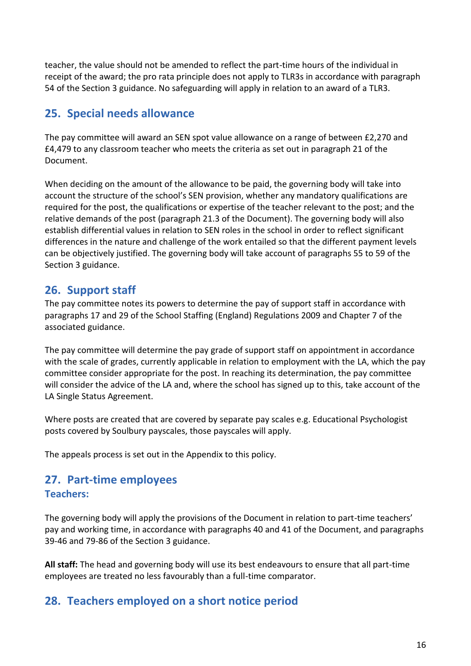teacher, the value should not be amended to reflect the part-time hours of the individual in receipt of the award; the pro rata principle does not apply to TLR3s in accordance with paragraph 54 of the Section 3 guidance. No safeguarding will apply in relation to an award of a TLR3.

## <span id="page-15-0"></span>**25. Special needs allowance**

The pay committee will award an SEN spot value allowance on a range of between £2,270 and £4,479 to any classroom teacher who meets the criteria as set out in paragraph 21 of the Document.

When deciding on the amount of the allowance to be paid, the governing body will take into account the structure of the school's SEN provision, whether any mandatory qualifications are required for the post, the qualifications or expertise of the teacher relevant to the post; and the relative demands of the post (paragraph 21.3 of the Document). The governing body will also establish differential values in relation to SEN roles in the school in order to reflect significant differences in the nature and challenge of the work entailed so that the different payment levels can be objectively justified. The governing body will take account of paragraphs 55 to 59 of the Section 3 guidance.

## <span id="page-15-1"></span>**26. Support staff**

The pay committee notes its powers to determine the pay of support staff in accordance with paragraphs 17 and 29 of the School Staffing (England) Regulations 2009 and Chapter 7 of the associated guidance.

The pay committee will determine the pay grade of support staff on appointment in accordance with the scale of grades, currently applicable in relation to employment with the LA, which the pay committee consider appropriate for the post. In reaching its determination, the pay committee will consider the advice of the LA and, where the school has signed up to this, take account of the LA Single Status Agreement.

Where posts are created that are covered by separate pay scales e.g. Educational Psychologist posts covered by Soulbury payscales, those payscales will apply.

The appeals process is set out in the Appendix to this policy.

## <span id="page-15-2"></span>**27. Part-time employees**

#### <span id="page-15-3"></span>**Teachers:**

The governing body will apply the provisions of the Document in relation to part-time teachers' pay and working time, in accordance with paragraphs 40 and 41 of the Document, and paragraphs 39-46 and 79-86 of the Section 3 guidance.

**All staff:** The head and governing body will use its best endeavours to ensure that all part-time employees are treated no less favourably than a full-time comparator.

## <span id="page-15-4"></span>**28. Teachers employed on a short notice period**